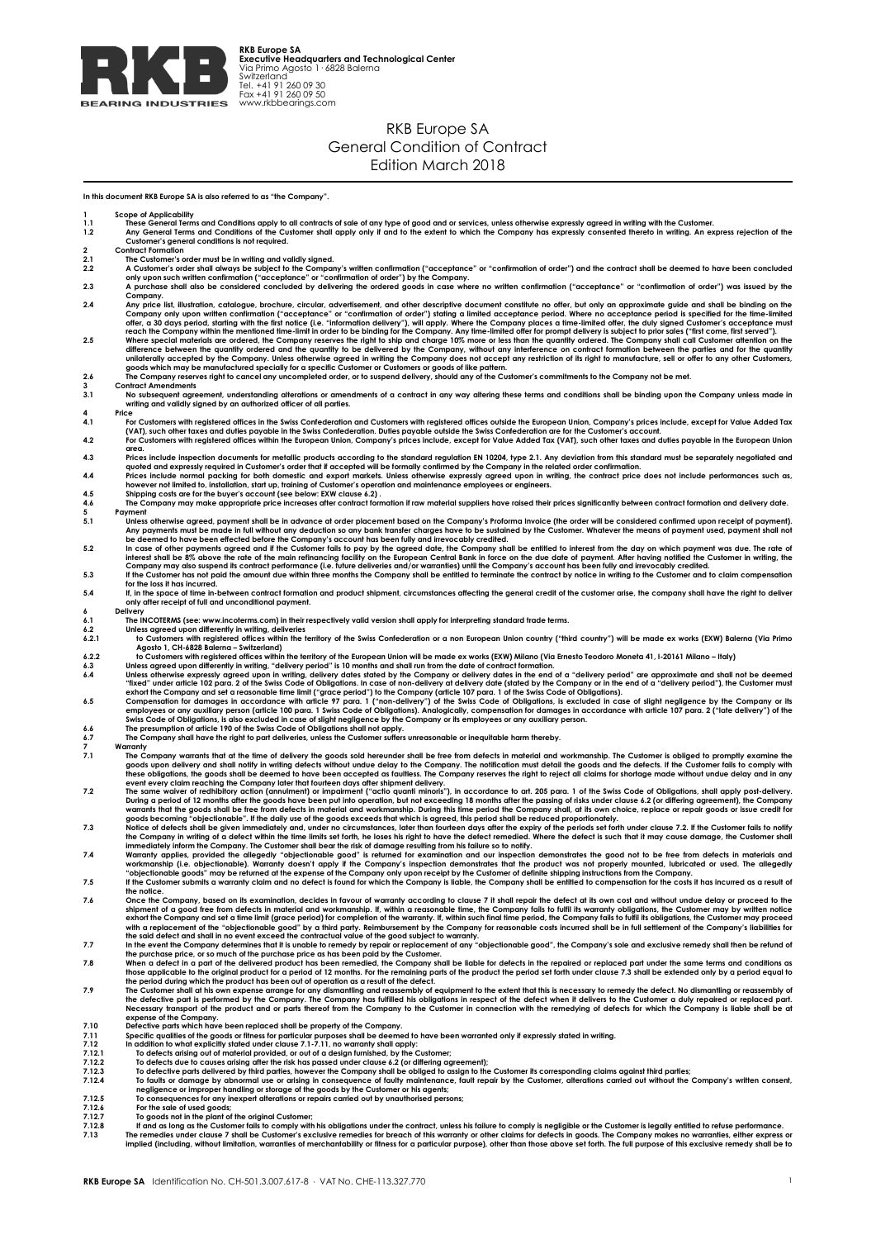

## RKB Europe SA General Condition of Contract Edition March 2018

**In this document RKB Europe SA is also referred to as "the Company".**

1 Scope of Applicability<br>1.1 These General Terms and Conditions apply to all contracts of sale of any type of good and or services, unless otherwise expressly agreed in writing with the Customer.<br>1.2 Any General Terms and 2 **Contract Formation**<br>
2.1 **The Customer's contract A** Customer's or 2.1 The Customer's order must be in writing and validly signed.<br>2.2 A Customer's order shall always be subject to the Company's written confirmation ("acceptance" or "confirmation of order") and the contract shal Company.<br>2.4 Any price list, illustration, catalogue, brochure, circular, advertisement, and other descriptive document constitute no offer, but only an approximate guide and shall be binding on the<br>2.4 Any price list, ill difference between the quantity ordered and the quantity to be delivered by the Company, without any interference on contract formation between the parties and for the quantity unilaterally accepted by the Company. Unless **3 Contract Amendments 3.1 No subsequent agreement, understanding alterations or amendments of a contract in any way altering these terms and conditions shall be binding upon the Company unless made in writing and validly signed by an authorized officer of all parties.**  $4^{4}$ 4.1 For Customers with registered offices in the Swiss Confederation and Customers with registered offices outside the European Union, Company's prices include, except for Value Added Tax<br>(VAT), such other taxes and duties area.<br>4.3 Prices include inspection documents for metallic products according to the standard regulation EN 10204, type 2.1. Any deviation from this standard must be separately negotiated and<br>4.4 Prices include normal pack **4.6 The Company may make appropriate price increases after contract formation if raw material suppliers have raised their prices significantly between contract formation and delivery date. 5 Payment** Any payments must be made in full without any deduction so any bank transfer charges have to be sustained by the Customer. What be constrained upon receipt of payments must be made in full without any deduction so any bank **for the loss it has incurred. 5.4 If, in the space of time in-between contract formation and product shipment, circumstances affecting the general credit of the customer arise, the company shall have the right to deliver only after receipt of full and unconditional payment. 6 Delivery 6.1 The INCOTERMS (see: www.incoterms.com) in their respectively valid version shall apply for interpreting standard trade terms. 6.2 Unless agreed upon differently in writing, deliveries 6.2.1 to Customers with registered offices within the territory of the Swiss Confederation or a non European Union country ("third country") will be made ex works (EXW) Balerna (Via Primo**  Agosto 1, CH-6228 Baların - Switzeland) in the territory of the European Union will be made ex works (EXW) Milano (Via Ernesto Teodoro Moneta 41, I-20161 Milano - Italy)<br>
Unless agreed upon differently in writing, "deliver The Company warrants that at the time of delivery the goods sold hereunder shall be free from defects in material and workmanship. The Customer is obliged to promptly examine the the State in the state of the State in the The same waiver of redhibitory action (annulment) for impairment divery.<br>The same waiver of redhibitory action (annulment) or impairment ("actio quanti minoris"), in accordance to art. 205 para. 1 of the Swiss Code of Obli 9.6 Once the Company, based on its examination, decides in favour of warranty accoding to clause 7 it shall repair to detect at is own cost and without undue delay or proceed to the select of the select of the select in **expense of the Company. 7.10 Defective parts which have been replaced shall be property of the Company. 7.11 Specific qualities of the goods or fitness for particular purposes shall be deemed to have been warranted only if expressly stated in writing. 7.12 In addition to what explicitly stated under clause 7.1-7.11, no warranty shall apply: 7.12.1 To defects arising out of material provided, or out of a design furnished, by the Customer;** T.12.2 To defects due to causes arising after the risk has passed under clause 6.2 (or differing agreement);<br>7.12.3 To defective parts delivered by third parties, however the Company shall be obliged to assign to the Custo **7.12.7 To goods not in the plant of the original Customer;**<br>**7.12.8 If and as long as the Customer fails to comply with 7.13 The remedies under clause 7 shall be Customer's ex**